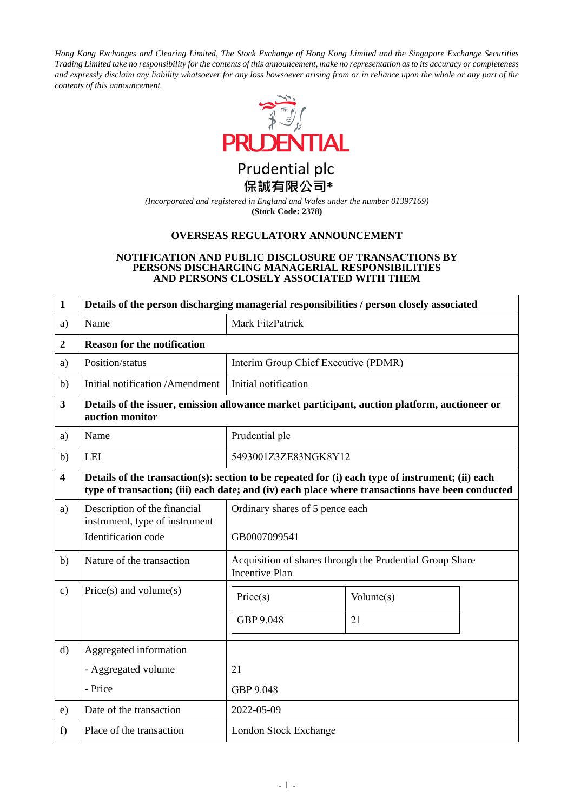*Hong Kong Exchanges and Clearing Limited, The Stock Exchange of Hong Kong Limited and the Singapore Exchange Securities Trading Limited take no responsibility for the contents of this announcement, make no representation as to its accuracy or completeness and expressly disclaim any liability whatsoever for any loss howsoever arising from or in reliance upon the whole or any part of the contents of this announcement.*



Prudential plc 保誠有限公司\*

*(Incorporated and registered in England and Wales under the number 01397169)* **(Stock Code: 2378)**

### **OVERSEAS REGULATORY ANNOUNCEMENT**

#### **NOTIFICATION AND PUBLIC DISCLOSURE OF TRANSACTIONS BY PERSONS DISCHARGING MANAGERIAL RESPONSIBILITIES AND PERSONS CLOSELY ASSOCIATED WITH THEM**

| $\mathbf{1}$            | Details of the person discharging managerial responsibilities / person closely associated                                                                                                            |                                                                                   |                 |  |
|-------------------------|------------------------------------------------------------------------------------------------------------------------------------------------------------------------------------------------------|-----------------------------------------------------------------------------------|-----------------|--|
| a)                      | Name                                                                                                                                                                                                 | Mark FitzPatrick                                                                  |                 |  |
| $\overline{2}$          | <b>Reason for the notification</b>                                                                                                                                                                   |                                                                                   |                 |  |
| a)                      | Position/status                                                                                                                                                                                      | Interim Group Chief Executive (PDMR)                                              |                 |  |
| b)                      | Initial notification /Amendment                                                                                                                                                                      | Initial notification                                                              |                 |  |
| $\overline{\mathbf{3}}$ | Details of the issuer, emission allowance market participant, auction platform, auctioneer or<br>auction monitor                                                                                     |                                                                                   |                 |  |
| a)                      | Name                                                                                                                                                                                                 | Prudential plc                                                                    |                 |  |
| b)                      | LEI                                                                                                                                                                                                  | 5493001Z3ZE83NGK8Y12                                                              |                 |  |
| $\overline{\mathbf{4}}$ | Details of the transaction(s): section to be repeated for (i) each type of instrument; (ii) each<br>type of transaction; (iii) each date; and (iv) each place where transactions have been conducted |                                                                                   |                 |  |
| a)                      | Description of the financial<br>instrument, type of instrument<br>Identification code                                                                                                                | Ordinary shares of 5 pence each<br>GB0007099541                                   |                 |  |
| b)                      | Nature of the transaction                                                                                                                                                                            | Acquisition of shares through the Prudential Group Share<br><b>Incentive Plan</b> |                 |  |
| $\mathbf{c})$           | $Price(s)$ and volume $(s)$                                                                                                                                                                          | Price(s)<br>GBP 9.048                                                             | Volume(s)<br>21 |  |
| $\mathbf{d}$            | Aggregated information                                                                                                                                                                               |                                                                                   |                 |  |
|                         | - Aggregated volume                                                                                                                                                                                  | 21                                                                                |                 |  |
|                         | - Price                                                                                                                                                                                              | GBP 9.048                                                                         |                 |  |
| e)                      | Date of the transaction                                                                                                                                                                              | 2022-05-09                                                                        |                 |  |
| f)                      | Place of the transaction                                                                                                                                                                             | London Stock Exchange                                                             |                 |  |